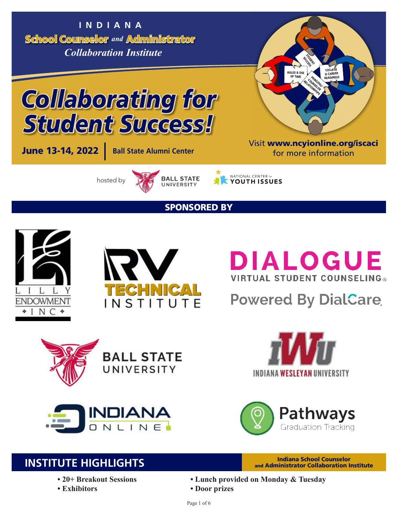School Counselor *and* Administrator **INDIANA** *Collaboration Institute*





**June 13-14, 2022 Ball State Alumni Center** 

hosted by



**NATIONAL CENTER 67**<br>YOUTH ISSUES

SPONSORED BY





# **DIALOGUE VIRTUAL STUDENT COUNSELING®**

# **Powered By DialCare**











# **INSTITUTE HIGHLIGHTS**

- **20+ Breakout Sessions**
- **Exhibitors**
- and Administrator Collaboration Institute
- **Lunch provided on Monday & Tuesday**
- **Door prizes**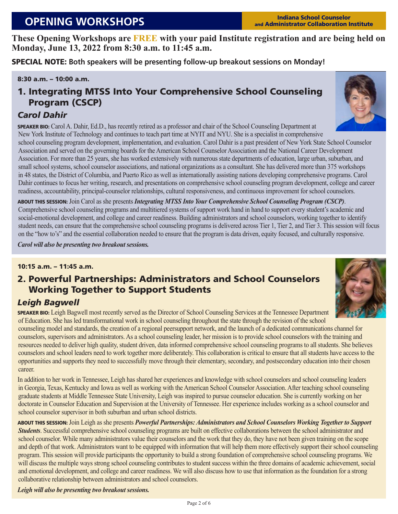# **OPENING WORKSHOPS Indiana School Counselor**

and Administrator Collaboration Institute

**These Opening Workshops are FREE with your paid Institute registration and are being held on Monday, June 13, 2022 from 8:30 a.m. to 11:45 a.m.**

SPECIAL NOTE: **Both speakers will be presenting follow-up breakout sessions on Monday!**

### 8:30 a.m. – 10:00 a.m.

### 1. Integrating MTSS Into Your Comprehensive School Counseling Program (CSCP)

### *Carol Dahir*

SPEAKER BIO: Carol A. Dahir, Ed.D., has recently retired as a professor and chair of the School Counseling Department at New York Institute of Technology and continues to teach part time at NYIT and NYU. She is a specialist in comprehensive

school counseling program development, implementation, and evaluation. Carol Dahir is a past president of New York State School Counselor Association and served on the governing boards for the American School Counselor Association and the National Career Development Association. For more than 25 years, she has worked extensively with numerous state departments of education, large urban, suburban, and small school systems, school counselor associations, and national organizations as a consultant. She has delivered more than 375 workshops in 48 states, the District of Columbia, and Puerto Rico as well as internationally assisting nations developing comprehensive programs. Carol Dahir continues to focus her writing, research, and presentations on comprehensive school counseling program development, college and career readiness, accountability, principal-counselor relationships, cultural responsiveness, and continuous improvement for school counselors.

ABOUT THIS SESSION: Join Carol as she presents *Integrating MTSS Into Your Comprehensive School Counseling Program (CSCP)*. Comprehensive school counseling programs and multitiered systems of support work hand in hand to support every student's academic and social-emotional development, and college and career readiness. Building administrators and school counselors, working together to identify student needs, can ensure that the comprehensive school counseling programs is delivered across Tier 1, Tier 2, and Tier 3. This session will focus on the "how to's" and the essential collaboration needed to ensure that the program is data driven, equity focused, and culturally responsive.

*Carol will also be presenting two breakout sessions.*

### 10:15 a.m. – 11:45 a.m.

### 2. Powerful Partnerships: Administrators and School Counselors Working Together to Support Students

### *Leigh Bagwell*

SPEAKER BIO: Leigh Bagwell most recently served as the Director of School Counseling Services at the Tennessee Department of Education. She has led transformational work in school counseling throughout the state through the revision of the school

counseling model and standards, the creation of a regional peersupport network, and the launch of a dedicated communications channel for counselors, supervisors and administrators. As a school counseling leader, her mission is to provide school counselors with the training and resources needed to deliver high quality, student driven, data informed comprehensive school counseling programs to all students. She believes counselors and school leaders need to work together more deliberately. This collaboration is critical to ensure that all students have access to the opportunities and supports they need to successfully move through their elementary, secondary, and postsecondary education into their chosen career.

In addition to her work in Tennessee, Leigh has shared her experiences and knowledge with school counselors and school counseling leaders in Georgia, Texas, Kentucky and Iowa as well as working with the American School Counselor Association. After teaching school counseling graduate students at Middle Tennessee State University, Leigh was inspired to pursue counselor education. She is currently working on her doctorate in Counselor Education and Supervision at the University of Tennessee. Her experience includes working as a school counselor and school counselor supervisor in both suburban and urban school districts.

ABOUT THIS SESSION: Join Leigh as she presents *Powerful Partnerships: Administrators and School Counselors Working Together to Support Students*. Successful comprehensive school counseling programs are built on effective collaborations between the school administrator and school counselor. While many administrators value their counselors and the work that they do, they have not been given training on the scope and depth of that work. Administrators want to be equipped with information that will help them more effectively support their school counseling program. This session will provide participants the opportunity to build a strong foundation of comprehensive school counseling programs. We will discuss the multiple ways strong school counseling contributes to student success within the three domains of academic achievement, social and emotional development, and college and career readiness. We will also discuss how to use that information as the foundation for a strong collaborative relationship between administrators and school counselors.

*Leigh will also be presenting two breakout sessions.*



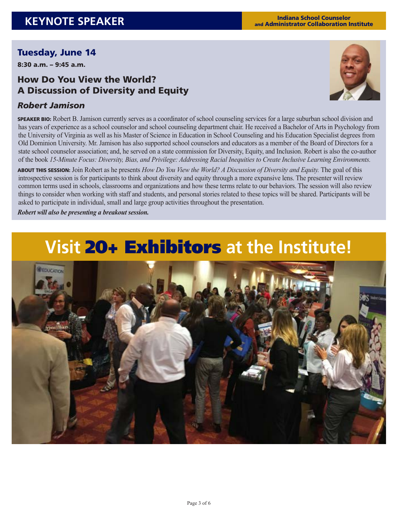### Tuesday, June 14

8:30 a.m. – 9:45 a.m.

### How Do You View the World? A Discussion of Diversity and Equity

### *Robert Jamison*

SPEAKER BIO: Robert B. Jamison currently serves as a coordinator of school counseling services for a large suburban school division and has years of experience as a school counselor and school counseling department chair. He received a Bachelor of Arts in Psychology from the University of Virginia as well as his Master of Science in Education in School Counseling and his Education Specialist degrees from Old Dominion University. Mr. Jamison has also supported school counselors and educators as a member of the Board of Directors for a state school counselor association; and, he served on a state commission for Diversity, Equity, and Inclusion. Robert is also the co-author of the book *15-Minute Focus: Diversity, Bias, and Privilege: Addressing Racial Inequities to Create Inclusive Learning Environments.*

ABOUT THIS SESSION: Join Robert as he presents *How Do You View the World? A Discussion of Diversity and Equity.* The goal of this introspective session is for participants to think about diversity and equity through a more expansive lens. The presenter will review common terms used in schools, classrooms and organizations and how these terms relate to our behaviors. The session will also review things to consider when working with staff and students, and personal stories related to these topics will be shared. Participants will be asked to participate in individual, small and large group activities throughout the presentation.

*Robert will also be presenting a breakout session.*

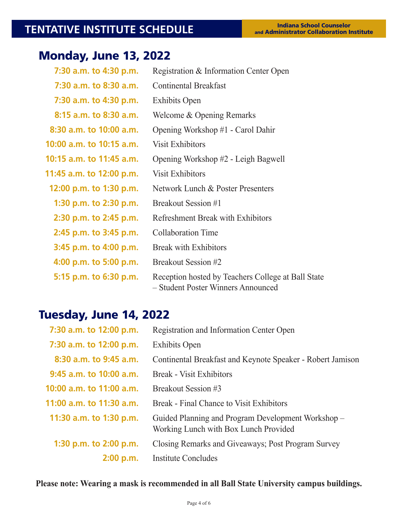# **TENTATIVE INSTITUTE SCHEDULE**

# Monday, June 13, 2022

| 7:30 a.m. to 4:30 p.m.   | Registration & Information Center Open                                                   |
|--------------------------|------------------------------------------------------------------------------------------|
| 7:30 a.m. to 8:30 a.m.   | <b>Continental Breakfast</b>                                                             |
| 7:30 a.m. to 4:30 p.m.   | <b>Exhibits Open</b>                                                                     |
| 8:15 a.m. to 8:30 a.m.   | Welcome & Opening Remarks                                                                |
| 8:30 a.m. to 10:00 a.m.  | Opening Workshop #1 - Carol Dahir                                                        |
| 10:00 a.m. to 10:15 a.m. | <b>Visit Exhibitors</b>                                                                  |
| 10:15 a.m. to 11:45 a.m. | Opening Workshop #2 - Leigh Bagwell                                                      |
| 11:45 a.m. to 12:00 p.m. | <b>Visit Exhibitors</b>                                                                  |
| 12:00 p.m. to 1:30 p.m.  | Network Lunch & Poster Presenters                                                        |
| 1:30 p.m. to 2:30 p.m.   | Breakout Session #1                                                                      |
| 2:30 p.m. to 2:45 p.m.   | <b>Refreshment Break with Exhibitors</b>                                                 |
| 2:45 p.m. to 3:45 p.m.   | <b>Collaboration Time</b>                                                                |
| 3:45 p.m. to 4:00 p.m.   | <b>Break with Exhibitors</b>                                                             |
| 4:00 p.m. to 5:00 p.m.   | Breakout Session #2                                                                      |
| 5:15 p.m. to 6:30 p.m.   | Reception hosted by Teachers College at Ball State<br>- Student Poster Winners Announced |

# Tuesday, June 14, 2022

| 7:30 a.m. to 12:00 p.m.   | Registration and Information Center Open                                                    |
|---------------------------|---------------------------------------------------------------------------------------------|
| 7:30 a.m. to 12:00 p.m.   | <b>Exhibits Open</b>                                                                        |
| 8:30 a.m. to 9:45 a.m.    | Continental Breakfast and Keynote Speaker - Robert Jamison                                  |
| $9:45$ a.m. to 10:00 a.m. | <b>Break - Visit Exhibitors</b>                                                             |
| 10:00 a.m. to 11:00 a.m.  | Breakout Session #3                                                                         |
| 11:00 a.m. to 11:30 a.m.  | Break - Final Chance to Visit Exhibitors                                                    |
| 11:30 a.m. to 1:30 p.m.   | Guided Planning and Program Development Workshop –<br>Working Lunch with Box Lunch Provided |
| 1:30 p.m. to 2:00 p.m.    | Closing Remarks and Giveaways; Post Program Survey                                          |
| 2:00 p.m.                 | Institute Concludes                                                                         |
|                           |                                                                                             |

**Please note: Wearing a mask is recommended in all Ball State University campus buildings.**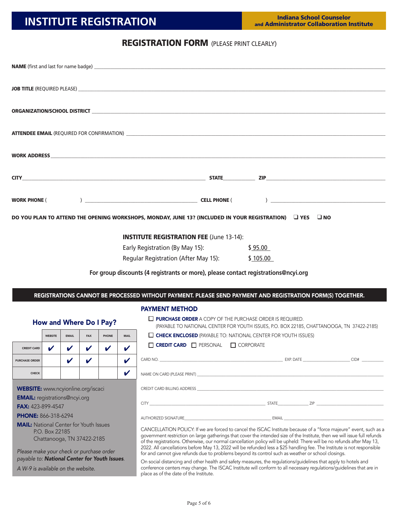### REGISTRATION FORM (PLEASE PRINT CLEARLY)

|                                                                                                                                                                                                                                                                           |                                                                                                                                                                 |                             |                            |                         |                                   | <b>NAME</b> (first and last for name badge) <b>All and Security Contract and Security Contract and Security Contract and Security Contract and Security Contract and Security Contract and Security Contract and Security Contract an</b> |         |  |
|---------------------------------------------------------------------------------------------------------------------------------------------------------------------------------------------------------------------------------------------------------------------------|-----------------------------------------------------------------------------------------------------------------------------------------------------------------|-----------------------------|----------------------------|-------------------------|-----------------------------------|-------------------------------------------------------------------------------------------------------------------------------------------------------------------------------------------------------------------------------------------|---------|--|
|                                                                                                                                                                                                                                                                           |                                                                                                                                                                 |                             |                            |                         |                                   |                                                                                                                                                                                                                                           |         |  |
|                                                                                                                                                                                                                                                                           |                                                                                                                                                                 |                             |                            |                         |                                   |                                                                                                                                                                                                                                           |         |  |
|                                                                                                                                                                                                                                                                           |                                                                                                                                                                 |                             |                            |                         |                                   |                                                                                                                                                                                                                                           |         |  |
|                                                                                                                                                                                                                                                                           |                                                                                                                                                                 |                             |                            |                         |                                   |                                                                                                                                                                                                                                           |         |  |
|                                                                                                                                                                                                                                                                           |                                                                                                                                                                 |                             |                            |                         |                                   |                                                                                                                                                                                                                                           |         |  |
|                                                                                                                                                                                                                                                                           |                                                                                                                                                                 |                             |                            |                         |                                   |                                                                                                                                                                                                                                           |         |  |
|                                                                                                                                                                                                                                                                           |                                                                                                                                                                 |                             |                            |                         |                                   |                                                                                                                                                                                                                                           |         |  |
|                                                                                                                                                                                                                                                                           |                                                                                                                                                                 |                             |                            |                         |                                   |                                                                                                                                                                                                                                           |         |  |
|                                                                                                                                                                                                                                                                           |                                                                                                                                                                 |                             |                            |                         |                                   |                                                                                                                                                                                                                                           |         |  |
|                                                                                                                                                                                                                                                                           |                                                                                                                                                                 |                             |                            |                         |                                   | DO YOU PLAN TO ATTEND THE OPENING WORKSHOPS, MONDAY, JUNE 13? (INCLUDED IN YOUR REGISTRATION) $\Box$ YES $\Box$ NO                                                                                                                        |         |  |
|                                                                                                                                                                                                                                                                           |                                                                                                                                                                 |                             |                            |                         |                                   |                                                                                                                                                                                                                                           |         |  |
|                                                                                                                                                                                                                                                                           |                                                                                                                                                                 |                             |                            |                         |                                   | <b>INSTITUTE REGISTRATION FEE (June 13-14):</b>                                                                                                                                                                                           |         |  |
|                                                                                                                                                                                                                                                                           |                                                                                                                                                                 |                             |                            |                         |                                   | Early Registration (By May 15):                                                                                                                                                                                                           | \$95.00 |  |
|                                                                                                                                                                                                                                                                           |                                                                                                                                                                 |                             |                            |                         |                                   | Regular Registration (After May 15): \$105.00                                                                                                                                                                                             |         |  |
|                                                                                                                                                                                                                                                                           |                                                                                                                                                                 |                             |                            |                         |                                   |                                                                                                                                                                                                                                           |         |  |
|                                                                                                                                                                                                                                                                           |                                                                                                                                                                 |                             |                            |                         |                                   | For group discounts (4 registrants or more), please contact registrations@ncyi.org                                                                                                                                                        |         |  |
|                                                                                                                                                                                                                                                                           |                                                                                                                                                                 |                             |                            |                         |                                   | REGISTRATIONS CANNOT BE PROCESSED WITHOUT PAYMENT. PLEASE SEND PAYMENT AND REGISTRATION FORM(S) TOGETHER.                                                                                                                                 |         |  |
|                                                                                                                                                                                                                                                                           |                                                                                                                                                                 |                             |                            |                         |                                   |                                                                                                                                                                                                                                           |         |  |
|                                                                                                                                                                                                                                                                           |                                                                                                                                                                 |                             |                            |                         |                                   | <b>PAYMENT METHOD</b>                                                                                                                                                                                                                     |         |  |
|                                                                                                                                                                                                                                                                           |                                                                                                                                                                 |                             |                            | How and Where Do I Pay? |                                   | $\Box$ <b>PURCHASE ORDER</b> A COPY OF THE PURCHASE ORDER IS REQUIRED.<br>(PAYABLE TO NATIONAL CENTER FOR YOUTH ISSUES, P.O. BOX 22185, CHATTANOOGA, TN 37422-2185)                                                                       |         |  |
|                                                                                                                                                                                                                                                                           | <b>WEBSITE</b>                                                                                                                                                  | <b>EMAIL</b>                | <b>FAX</b>                 | PHONE                   | <b>MAIL</b>                       | $\Box$ CHECK ENCLOSED (PAYABLE TO: NATIONAL CENTER FOR YOUTH ISSUES)                                                                                                                                                                      |         |  |
| <b>CREDIT CARD</b>                                                                                                                                                                                                                                                        | $\sim$                                                                                                                                                          | $\sim$ $\sim$ $\sim$ $\sim$ |                            |                         | $\boldsymbol{v}$ $\boldsymbol{v}$ | $\Box$ <b>CREDIT CARD</b> $\Box$ PERSONAL $\Box$ CORPORATE                                                                                                                                                                                |         |  |
| <b>PURCHASE ORDER</b>                                                                                                                                                                                                                                                     |                                                                                                                                                                 | V                           | $\boldsymbol{\mathcal{U}}$ |                         | $\boldsymbol{\mathcal{U}}$        |                                                                                                                                                                                                                                           |         |  |
| <b>CHECK</b>                                                                                                                                                                                                                                                              |                                                                                                                                                                 |                             |                            |                         | $\boldsymbol{\mathcal{U}}$        | NAME ON CARD (PLEASE PRINT)                                                                                                                                                                                                               |         |  |
|                                                                                                                                                                                                                                                                           |                                                                                                                                                                 |                             |                            |                         |                                   |                                                                                                                                                                                                                                           |         |  |
| <b>WEBSITE:</b> www.ncyionline.org/iscaci                                                                                                                                                                                                                                 |                                                                                                                                                                 |                             |                            |                         |                                   | CREDIT CARD BILLING ADDRESS <b>Example 2006</b> The Second Second Second Second Second Second Second Second Second Second Second Second Second Second Second Second Second Second Second Second Second Second Second Second Second        |         |  |
| <b>EMAIL:</b> registrations@ncyi.org<br>FAX: 423-899-4547                                                                                                                                                                                                                 |                                                                                                                                                                 |                             |                            |                         |                                   |                                                                                                                                                                                                                                           |         |  |
| <b>PHONE: 866-318-6294</b>                                                                                                                                                                                                                                                |                                                                                                                                                                 |                             |                            |                         |                                   |                                                                                                                                                                                                                                           |         |  |
| <b>MAIL:</b> National Center for Youth Issues                                                                                                                                                                                                                             |                                                                                                                                                                 |                             |                            |                         |                                   | AUTHORIZED SIGNATURE <b>AUTHORIZED SIGNATURE</b>                                                                                                                                                                                          |         |  |
| CANCELLATION POLICY: If we are forced to cancel the ISCAC Institute because of a "force majeure" event, such as a<br>P.O. Box 22185<br>government restriction on large gatherings that cover the intended size of the Institute, then we will issue full refunds          |                                                                                                                                                                 |                             |                            |                         |                                   |                                                                                                                                                                                                                                           |         |  |
| Chattanooga, TN 37422-2185<br>of the registrations. Otherwise, our normal cancellation policy will be upheld: There will be no refunds after May 13,                                                                                                                      |                                                                                                                                                                 |                             |                            |                         |                                   |                                                                                                                                                                                                                                           |         |  |
| 2022. All cancellations before May 13, 2022 will be refunded less a \$25 handling fee. The Institute is not responsible<br>Please make your check or purchase order<br>for and cannot give refunds due to problems beyond its control such as weather or school closings. |                                                                                                                                                                 |                             |                            |                         |                                   |                                                                                                                                                                                                                                           |         |  |
|                                                                                                                                                                                                                                                                           | payable to: National Center for Youth Issues.<br>On social distancing and other health and safety measures, the regulations/guidelines that apply to hotels and |                             |                            |                         |                                   |                                                                                                                                                                                                                                           |         |  |

*A W-9 is available on the website.*

place as of the date of the Institute.

conference centers may change. The ISCAC Institute will conform to all necessary regulations/guidelines that are in